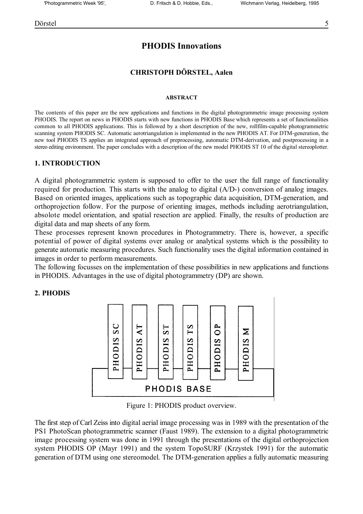# **PHODIS Innovations**

### **CHRISTOPH DÖRSTEL, Aalen**

#### **ABSTRACT**

The contents of this paper are the new applications and functions in the digital photogrammetric image processing system PHODIS. The report on news in PHODIS starts with new functions in PHODIS Base which represents a set of functionalities common to all PHODIS applications. This is followed by a short description of the new, rollfilm-capable photogrammetric scanning system PHODIS SC. Automatic aerotriangulation is implemented in the new PHODIS AT. For DTM-generation, the new tool PHODIS TS applies an integrated approach of preprocessing, automatic DTM-derivation, and postprocessing in a stereo editing environment. The paper concludes with a description of the new model PHODIS ST 10 of the digital stereoplotter.

#### **1. INTRODUCTION**

A digital photogrammetric system is supposed to offer to the user the full range of functionality required for production. This starts with the analog to digital (A/D-) conversion of analog images. Based on oriented images, applications such as topographic data acquisition, DTM-generation, and orthoprojection follow. For the purpose of orienting images, methods including aerotriangulation, absolote model orientation, and spatial resection are applied. Finally, the results of production are digital data and map sheets of any form.

These processes represent known procedures in Photogrammetry. There is, however, a specific potential of power of digital systems over analog or analytical systems which is the possibility to generate automatic measuring procedures. Such functionality uses the digital information contained in images in order to perform measurements.

The following focusses on the implementation of these possibilities in new applications and functions in PHODIS. Advantages in the use of digital photogrammetry (DP) are shown.

#### **2. PHODIS**



Figure 1: PHODIS product overview.

The first step of Carl Zeiss into digital aerial image processing was in 1989 with the presentation of the PS1 PhotoScan photogrammetric scanner (Faust 1989). The extension to a digital photogrammetric image processing system was done in 1991 through the presentations of the digital orthoprojection system PHODIS OP (Mayr 1991) and the system TopoSURF (Krzystek 1991) for the automatic generation of DTM using one stereomodel. The DTM-generation applies a fully automatic measuring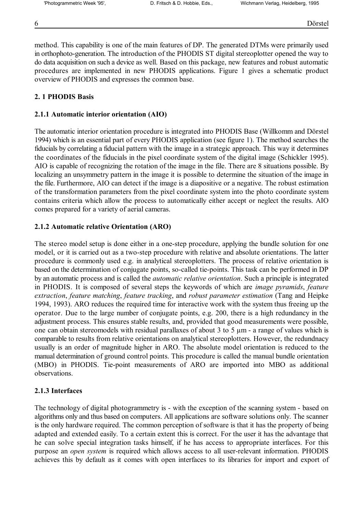method. This capability is one of the main features of DP. The generated DTMs were primarily used in orthophoto-generation. The introduction of the PHODIS ST digital stereoplotter opened the way to do data acquisition on such a device as well. Based on this package, new features and robust automatic procedures are implemented in new PHODIS applications. Figure 1 gives a schematic product overview of PHODIS and expresses the common base.

### **2. 1 PHODIS Basis**

#### **2.1.1 Automatic interior orientation (AIO)**

The automatic interior orientation procedure is integrated into PHODIS Base (Willkomm and Dörstel 1994) which is an essential part of every PHODIS application (see figure 1). The method searches the fiducials by correlating a fiducial pattern with the image in a strategic approach. This way it determines the coordinates of the fiducials in the pixel coordinate system of the digital image (Schickler 1995). AIO is capable of recognizing the rotation of the image in the file. There are 8 situations possible. By localizing an unsymmetry pattern in the image it is possible to determine the situation of the image in the file. Furthermore, AIO can detect if the image is a diapositive or a negative. The robust estimation of the transformation parameters from the pixel coordinate system into the photo coordinate system contains criteria which allow the process to automatically either accept or neglect the results. AIO comes prepared for a variety of aerial cameras.

### **2.1.2 Automatic relative Orientation (ARO)**

The stereo model setup is done either in a one-step procedure, applying the bundle solution for one model, or it is carried out as a two-step procedure with relative and absolute orientations. The latter procedure is commonly used e.g. in analytical stereoplotters. The process of relative orientation is based on the determination of conjugate points, so-called tie-points. This task can be performed in DP by an automatic process and is called the *automatic relative orientation*. Such a principle is integrated in PHODIS. It is composed of several steps the keywords of which are *image pyramids*, *feature extraction*, *feature matching*, *feature tracking*, and *robust parameter estimation* (Tang and Heipke 1994, 1993). ARO reduces the required time for interactive work with the system thus freeing up the operator. Due to the large number of conjugate points, e.g. 200, there is a high redundancy in the adjustment process. This ensures stable results, and, provided that good measurements were possible, one can obtain stereomodels with residual parallaxes of about 3 to 5 µm - a range of values which is comparable to results from relative orientations on analytical stereoplotters. However, the redundnacy usually is an order of magnitude higher in ARO. The absolute model orientation is reduced to the manual determination of ground control points. This procedure is called the manual bundle orientation (MBO) in PHODIS. Tie-point measurements of ARO are imported into MBO as additional observations.

### **2.1.3 Interfaces**

The technology of digital photogrammetry is - with the exception of the scanning system - based on algorithms only and thus based on computers. All applications are software solutions only. The scanner is the only hardware required. The common perception of software is that it has the property of being adapted and extended easily. To a certain extent this is correct. For the user it has the advantage that he can solve special integration tasks himself, if he has access to appropriate interfaces. For this purpose an *open system* is required which allows access to all user-relevant information. PHODIS achieves this by default as it comes with open interfaces to its libraries for import and export of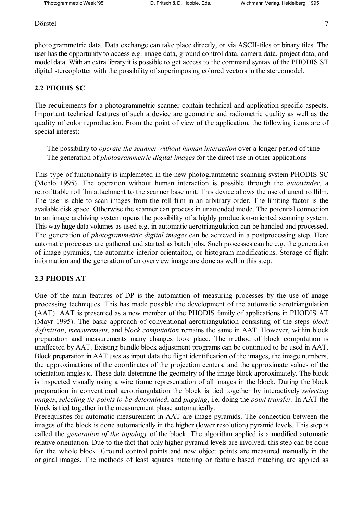photogrammetric data. Data exchange can take place directly, or via ASCII-files or binary files. The user has the opportunity to access e.g. image data, ground control data, camera data, project data, and model data. With an extra library it is possible to get access to the command syntax of the PHODIS ST digital stereoplotter with the possibility of superimposing colored vectors in the stereomodel.

## **2.2 PHODIS SC**

The requirements for a photogrammetric scanner contain technical and application-specific aspects. Important technical features of such a device are geometric and radiometric quality as well as the quality of color reproduction. From the point of view of the application, the following items are of special interest:

- The possibility to *operate the scanner without human interaction* over a longer period of time
- The generation of *photogrammetric digital images* for the direct use in other applications

This type of functionality is implemeted in the new photogrammetric scanning system PHODIS SC (Mehlo 1995). The operation without human interaction is possible through the *autowinder*, a retrofittable rollfilm attachment to the scanner base unit. This device allows the use of uncut rollfilm. The user is able to scan images from the roll film in an arbitrary order. The limiting factor is the available disk space. Otherwise the scanner can process in unattended mode. The potential connection to an image archiving system opens the possibility of a highly production-oriented scanning system. This way huge data volumes as used e.g. in automatic aerotriangulation can be handled and processed. The generation of *photogrammetric digital images* can be achieved in a postprocessing step. Here automatic processes are gathered and started as batch jobs. Such processes can be e.g. the generation of image pyramids, the automatic interior orientaiton, or histogram modifications. Storage of flight information and the generation of an overview image are done as well in this step.

# **2.3 PHODIS AT**

One of the main features of DP is the automation of measuring processes by the use of image processing techniques. This has made possible the development of the automatic aerotriangulation (AAT). AAT is presented as a new member of the PHODIS family of applications in PHODIS AT (Mayr 1995). The basic approach of conventional aerotriangulation consisting of the steps *block definition*, *measurement*, and *block computation* remains the same in AAT. However, within block preparation and measurements many changes took place. The method of block computation is unaffected by AAT. Existing bundle block adjustment programs can be continued to be used in AAT. Block preparation in AAT uses as input data the flight identification of the images, the image numbers, the approximations of the coordinates of the projection centers, and the approximate values of the orientation angles κ. These data determine the geometry of the image block approximately. The block is inspected visually using a wire frame representation of all images in the block. During the block preparation in conventional aerotriangulation the block is tied together by interactively *selecting images*, *selecting tie-points to-be-determined*, and *pugging*, i.e. doing the *point transfer*. In AAT the block is tied together in the measurement phase automatically.

Prerequisites for automatic measurement in AAT are image pyramids. The connection between the images of the block is done automatically in the higher (lower resolution) pyramid levels. This step is called the *generation of the topology* of the block. The algorithm applied is a modified automatic relative orientation. Due to the fact that only higher pyramid levels are involved, this step can be done for the whole block. Ground control points and new object points are measured manually in the original images. The methods of least squares matching or feature based matching are applied as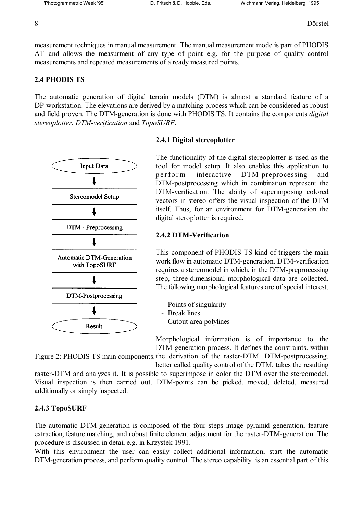measurement techniques in manual measurement. The manual measurement mode is part of PHODIS AT and allows the measurment of any type of point e.g. for the purpose of quality control measurements and repeated measurements of already measured points.

# **2.4 PHODIS TS**

The automatic generation of digital terrain models (DTM) is almost a standard feature of a DP-workstation. The elevations are derived by a matching process which can be considered as robust and field proven. The DTM-generation is done with PHODIS TS. It contains the components *digital stereoplotter*, *DTM-verification* and *TopoSURF*.

# **2.4.1 Digital stereoplotter**

The functionality of the digital stereoplotter is used as the tool for model setup. It also enables this application to per form interactive DTM-preprocessing and DTM-postprocessing which in combination represent the DTM-verification. The ability of superimposing colored vectors in stereo offers the visual inspection of the DTM itself. Thus, for an environment for DTM-generation the digital steroplotter is required.

# **2.4.2 DTM-Verification**

This component of PHODIS TS kind of triggers the main work flow in automatic DTM-generation. DTM-verification requires a stereomodel in which, in the DTM-preprocessing step, three-dimensional morphological data are collected. The following morphological features are of special interest.

- Points of singularity
- Break lines
- Cutout area polylines

Morphological information is of importance to the DTM-generation process. It defines the constraints. within

Figure 2: PHODIS TS main components. the derivation of the raster-DTM. DTM-postprocessing, better called quality control of the DTM, takes the resulting

raster-DTM and analyzes it. It is possible to superimpose in color the DTM over the stereomodel. Visual inspection is then carried out. DTM-points can be picked, moved, deleted, measured additionally or simply inspected.

# **2.4.3 TopoSURF**

The automatic DTM-generation is composed of the four steps image pyramid generation, feature extraction, feature matching, and robust finite element adjustment for the raster-DTM-generation. The procedure is discussed in detail e.g. in Krzystek 1991.

With this environment the user can easily collect additional information, start the automatic DTM-generation process, and perform quality control. The stereo capability is an essential part of this

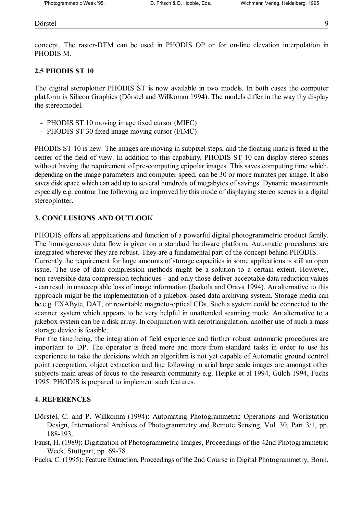#### Dörstel and de en 1982 en 1982 en 1982 en 1982 en 1983 en 1982 en 1983 en 1984 en 1983 en 1984 en 1984 en 198

concept. The raster-DTM can be used in PHODIS OP or for on-line elevation interpolation in PHODIS M.

## **2.5 PHODIS ST 10**

The digital steroplotter PHODIS ST is now available in two models. In both cases the computer platform is Silicon Graphics (Dörstel and Willkomm 1994). The models differ in the way thy display the stereomodel.

- PHODIS ST 10 moving image fixed cursor (MIFC)
- PHODIS ST 30 fixed image moving cursor (FIMC)

PHODIS ST 10 is new. The images are moving in subpixel steps, and the floating mark is fixed in the center of the field of view. In addition to this capability, PHODIS ST 10 can display stereo scenes without having the requirement of pre-computing epipolar images. This saves computing time which, depending on the image parameters and computer speed, can be 30 or more minutes per image. It also saves disk space which can add up to several hundreds of megabytes of savings. Dynamic measurments especially e.g. contour line following are improved by this mode of displaying stereo scenes in a digital stereoplotter.

## **3. CONCLUSIONS AND OUTLOOK**

PHODIS offers all appplications and function of a powerful digital photogrammetric product family. The homogeneous data flow is given on a standard hardware platform. Automatic procedures are integrated wherever they are robust. They are a fundamental part of the concept behind PHODIS.

Currently the requirement for huge amounts of storage capacities in some applications is still an open issue. The use of data compression methods might be a solution to a certain extent. However, non-reversible data compression techniques - and only those deliver acceptable data reduction values - can result in unacceptable loss of image information (Jaakola and Orava 1994). An alternative to this approach might be the implementation of a jukebox-based data archiving system. Storage media can be e.g. EXAByte, DAT, or rewritable magneto-optical CDs. Such a system could be connected to the scanner system which appears to be very helpful in unattended scanning mode. An alternative to a jukebox system can be a disk array. In conjunction with aerotriangulation, another use of such a mass storage device is feasible.

For the time being, the integration of field experience and further robust automatic procedures are important to DP. The operator is freed more and more from standard tasks in order to use his experience to take the decisions which an algorithm is not yet capable of.Automatic ground control point recognition, object extraction and line following in arial large scale images are amongst other subjects main areas of focus to the research community e.g. Heipke et al 1994, Gülch 1994, Fuchs 1995. PHODIS is prepared to implement such features.

### **4. REFERENCES**

- Dörstel, C. and P. Willkomm (1994): Automating Photogrammetric Operations and Workstation Design, International Archives of Photogrammetry and Remote Sensing, Vol. 30, Part 3/1, pp. 188-193.
- Faust, H. (1989): Digitization of Photogrammetric Images, Proceedings of the 42nd Photogrammetric Week, Stuttgart, pp. 69-78.

Fuchs, C. (1995): Feature Extraction, Proceedings of the 2nd Course in Digital Photogrammetry, Bonn.